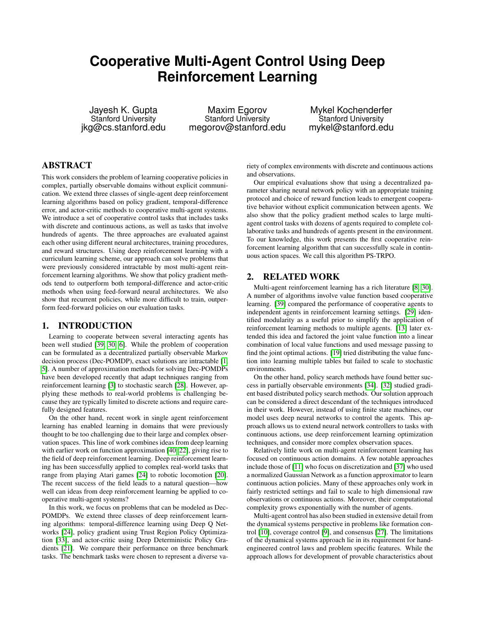# **Cooperative Multi-Agent Control Using Deep Reinforcement Learning**

Jayesh K. Gupta Stanford University jkg@cs.stanford.edu

Maxim Egorov Stanford University megorov@stanford.edu

Mykel Kochenderfer Stanford University mykel@stanford.edu

# ABSTRACT

This work considers the problem of learning cooperative policies in complex, partially observable domains without explicit communication. We extend three classes of single-agent deep reinforcement learning algorithms based on policy gradient, temporal-difference error, and actor-critic methods to cooperative multi-agent systems. We introduce a set of cooperative control tasks that includes tasks with discrete and continuous actions, as well as tasks that involve hundreds of agents. The three approaches are evaluated against each other using different neural architectures, training procedures, and reward structures. Using deep reinforcement learning with a curriculum learning scheme, our approach can solve problems that were previously considered intractable by most multi-agent reinforcement learning algorithms. We show that policy gradient methods tend to outperform both temporal-difference and actor-critic methods when using feed-forward neural architectures. We also show that recurrent policies, while more difficult to train, outperform feed-forward policies on our evaluation tasks.

## 1. INTRODUCTION

Learning to cooperate between several interacting agents has been well studied [\[39,](#page-7-0) [30,](#page-7-1) [6\]](#page-6-0). While the problem of cooperation can be formulated as a decentralized partially observable Markov decision process (Dec-POMDP), exact solutions are intractable [\[1,](#page-6-1) [5\]](#page-6-2). A number of approximation methods for solving Dec-POMDPs have been developed recently that adapt techniques ranging from reinforcement learning [\[3\]](#page-6-3) to stochastic search [\[28\]](#page-7-2). However, applying these methods to real-world problems is challenging because they are typically limited to discrete actions and require carefully designed features.

On the other hand, recent work in single agent reinforcement learning has enabled learning in domains that were previously thought to be too challenging due to their large and complex observation spaces. This line of work combines ideas from deep learning with earlier work on function approximation [\[40,](#page-7-3) [22\]](#page-7-4), giving rise to the field of deep reinforcement learning. Deep reinforcement learning has been successfully applied to complex real-world tasks that range from playing Atari games [\[24\]](#page-7-5) to robotic locomotion [\[20\]](#page-7-6). The recent success of the field leads to a natural question—how well can ideas from deep reinforcement learning be applied to cooperative multi-agent systems?

In this work, we focus on problems that can be modeled as Dec-POMDPs. We extend three classes of deep reinforcement learning algorithms: temporal-difference learning using Deep Q Networks [\[24\]](#page-7-5), policy gradient using Trust Region Policy Optimization [\[33\]](#page-7-7), and actor-critic using Deep Deterministic Policy Gradients [\[21\]](#page-7-8). We compare their performance on three benchmark tasks. The benchmark tasks were chosen to represent a diverse variety of complex environments with discrete and continuous actions and observations.

Our empirical evaluations show that using a decentralized parameter sharing neural network policy with an appropriate training protocol and choice of reward function leads to emergent cooperative behavior without explicit communication between agents. We also show that the policy gradient method scales to large multiagent control tasks with dozens of agents required to complete collaborative tasks and hundreds of agents present in the environment. To our knowledge, this work presents the first cooperative reinforcement learning algorithm that can successfully scale in continuous action spaces. We call this algorithm PS-TRPO.

# 2. RELATED WORK

Multi-agent reinforcement learning has a rich literature [\[8,](#page-6-4) [30\]](#page-7-1). A number of algorithms involve value function based cooperative learning. [\[39\]](#page-7-0) compared the performance of cooperative agents to independent agents in reinforcement learning settings. [\[29\]](#page-7-9) identified modularity as a useful prior to simplify the application of reinforcement learning methods to multiple agents. [\[13\]](#page-7-10) later extended this idea and factored the joint value function into a linear combination of local value functions and used message passing to find the joint optimal actions. [\[19\]](#page-7-11) tried distributing the value function into learning multiple tables but failed to scale to stochastic environments.

On the other hand, policy search methods have found better success in partially observable environments [\[34\]](#page-7-12). [\[32\]](#page-7-13) studied gradient based distributed policy search methods. Our solution approach can be considered a direct descendant of the techniques introduced in their work. However, instead of using finite state machines, our model uses deep neural networks to control the agents. This approach allows us to extend neural network controllers to tasks with continuous actions, use deep reinforcement learning optimization techniques, and consider more complex observation spaces.

Relatively little work on multi-agent reinforcement learning has focused on continuous action domains. A few notable approaches include those of [\[11\]](#page-7-14) who focus on discretization and [\[37\]](#page-7-15) who used a normalized Gaussian Network as a function approximator to learn continuous action policies. Many of these approaches only work in fairly restricted settings and fail to scale to high dimensional raw observations or continuous actions. Moreover, their computational complexity grows exponentially with the number of agents.

Multi-agent control has also been studied in extensive detail from the dynamical systems perspective in problems like formation control [\[10\]](#page-7-16), coverage control [\[9\]](#page-7-17), and consensus [\[27\]](#page-7-18). The limitations of the dynamical systems approach lie in its requirement for handengineered control laws and problem specific features. While the approach allows for development of provable characteristics about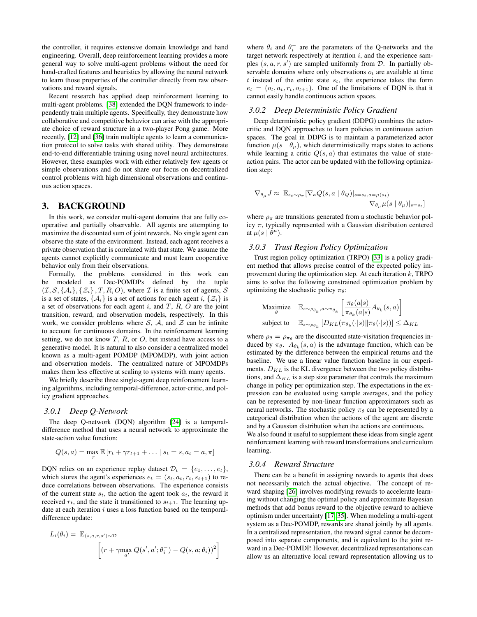the controller, it requires extensive domain knowledge and hand engineering. Overall, deep reinforcement learning provides a more general way to solve multi-agent problems without the need for hand-crafted features and heuristics by allowing the neural network to learn those properties of the controller directly from raw observations and reward signals.

Recent research has applied deep reinforcement learning to multi-agent problems. [\[38\]](#page-7-19) extended the DQN framework to independently train multiple agents. Specifically, they demonstrate how collaborative and competitive behavior can arise with the appropriate choice of reward structure in a two-player Pong game. More recently, [\[12\]](#page-7-20) and [\[36\]](#page-7-21) train multiple agents to learn a communication protocol to solve tasks with shared utility. They demonstrate end-to-end differentiable training using novel neural architectures. However, these examples work with either relatively few agents or simple observations and do not share our focus on decentralized control problems with high dimensional observations and continuous action spaces.

# 3. BACKGROUND

In this work, we consider multi-agent domains that are fully cooperative and partially observable. All agents are attempting to maximize the discounted sum of joint rewards. No single agent can observe the state of the environment. Instead, each agent receives a private observation that is correlated with that state. We assume the agents cannot explicitly communicate and must learn cooperative behavior only from their observations.

Formally, the problems considered in this work can be modeled as Dec-POMDPs defined by the tuple  $(\mathcal{I}, \mathcal{S}, \{\mathcal{A}_i\}, \{\mathcal{Z}_i\}, T, R, O)$ , where  $\mathcal I$  is a finite set of agents,  $\mathcal S$ is a set of states,  $\{A_i\}$  is a set of actions for each agent i,  $\{\mathcal{Z}_i\}$  is a set of observations for each agent  $i$ , and  $T$ ,  $R$ ,  $O$  are the joint transition, reward, and observation models, respectively. In this work, we consider problems where S, A, and  $\mathcal Z$  can be infinite to account for continuous domains. In the reinforcement learning setting, we do not know  $T$ ,  $R$ , or  $O$ , but instead have access to a generative model. It is natural to also consider a centralized model known as a multi-agent POMDP (MPOMDP), with joint action and observation models. The centralized nature of MPOMDPs makes them less effective at scaling to systems with many agents.

We briefly describe three single-agent deep reinforcement learning algorithms, including temporal-difference, actor-critic, and policy gradient approaches.

#### *3.0.1 Deep Q-Network*

The deep Q-network (DQN) algorithm [\[24\]](#page-7-5) is a temporaldifference method that uses a neural network to approximate the state-action value function:

$$
Q(s, a) = \max_{\pi} \mathbb{E} [r_t + \gamma r_{t+1} + \dots | s_t = s, a_t = a, \pi]
$$

DQN relies on an experience replay dataset  $\mathcal{D}_t = \{e_1, \ldots, e_t\},\$ which stores the agent's experiences  $e_t = (s_t, a_t, r_t, s_{t+1})$  to reduce correlations between observations. The experience consists of the current state  $s_t$ , the action the agent took  $a_t$ , the reward it received  $r_t$ , and the state it transitioned to  $s_{t+1}$ . The learning update at each iteration  $i$  uses a loss function based on the temporaldifference update:

$$
L_i(\theta_i) = \mathbb{E}_{(s,a,r,s') \sim \mathcal{D}} \left[ (r + \gamma \max_{a'} Q(s',a';\theta_i^-) - Q(s,a;\theta_i))^2 \right]
$$

where  $\theta_i$  and  $\theta_i^-$  are the parameters of the Q-networks and the target network respectively at iteration  $i$ , and the experience samples  $(s, a, r, s')$  are sampled uniformly from  $D$ . In partially observable domains where only observations  $o_t$  are available at time t instead of the entire state  $s_t$ , the experience takes the form  $e_t = (o_t, a_t, r_t, o_{t+1})$ . One of the limitations of DQN is that it cannot easily handle continuous action spaces.

#### *3.0.2 Deep Deterministic Policy Gradient*

Deep deterministic policy gradient (DDPG) combines the actorcritic and DQN approaches to learn policies in continuous action spaces. The goal in DDPG is to maintain a parameterized actor function  $\mu(s | \theta_\mu)$ , which deterministically maps states to actions while learning a critic  $Q(s, a)$  that estimates the value of stateaction pairs. The actor can be updated with the following optimization step:

$$
\nabla_{\theta_{\mu}} J \approx \mathbb{E}_{st \sim \rho_{\pi}} [\nabla_a Q(s, a \mid \theta_Q)|_{s=s_t, a=\mu(s_t)} \nabla_{\theta_{\mu}} \mu(s \mid \theta_{\mu})|_{s=s_t}]
$$

where  $\rho_{\pi}$  are transitions generated from a stochastic behavior policy  $\pi$ , typically represented with a Gaussian distribution centered at  $\mu(s | \theta^{\mu}).$ 

### *3.0.3 Trust Region Policy Optimization*

Trust region policy optimization (TRPO) [\[33\]](#page-7-7) is a policy gradient method that allows precise control of the expected policy improvement during the optimization step. At each iteration  $k$ , TRPO aims to solve the following constrained optimization problem by optimizing the stochastic policy  $\pi_{\theta}$ :

$$
\begin{array}{ll}\n\text{Maximize} & \mathbb{E}_{s \sim \rho_{\theta_k}, a \sim \pi_{\theta_k}} \left[ \frac{\pi_{\theta}(a|s)}{\pi_{\theta_k}(a|s)} A_{\theta_k}(s, a) \right] \\
\text{subject to} & \mathbb{E}_{s \sim \rho_{\theta_k}} \left[ D_{KL}(\pi_{\theta_k}(\cdot|s) || \pi_{\theta}(\cdot|s)) \right] \leq \Delta_{KL} \n\end{array}
$$

where  $\rho_{\theta} = \rho_{\pi_{\theta}}$  are the discounted state-visitation frequencies induced by  $\pi_{\theta}$ .  $A_{\theta_k}(s, a)$  is the advantage function, which can be estimated by the difference between the empirical returns and the baseline. We use a linear value function baseline in our experiments.  $D_{KL}$  is the KL divergence between the two policy distributions, and  $\Delta_{KL}$  is a step size parameter that controls the maximum change in policy per optimization step. The expectations in the expression can be evaluated using sample averages, and the policy can be represented by non-linear function approximators such as neural networks. The stochastic policy  $\pi_{\theta}$  can be represented by a categorical distribution when the actions of the agent are discrete and by a Gaussian distribution when the actions are continuous. We also found it useful to supplement these ideas from single agent

reinforcement learning with reward transformations and curriculum learning.

#### *3.0.4 Reward Structure*

There can be a benefit in assigning rewards to agents that does not necessarily match the actual objective. The concept of reward shaping [\[26\]](#page-7-22) involves modifying rewards to accelerate learning without changing the optimal policy and approximate Bayesian methods that add bonus reward to the objective reward to achieve optimism under uncertainty [\[17,](#page-7-23) [35\]](#page-7-24). When modeling a multi-agent system as a Dec-POMDP, rewards are shared jointly by all agents. In a centralized representation, the reward signal cannot be decomposed into separate components, and is equivalent to the joint reward in a Dec-POMDP. However, decentralized representations can allow us an alternative local reward representation allowing us to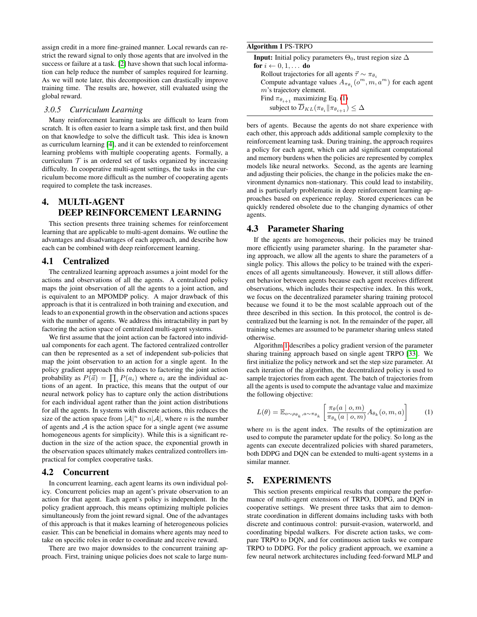assign credit in a more fine-grained manner. Local rewards can restrict the reward signal to only those agents that are involved in the success or failure at a task. [\[2\]](#page-6-5) have shown that such local information can help reduce the number of samples required for learning. As we will note later, this decomposition can drastically improve training time. The results are, however, still evaluated using the global reward.

# *3.0.5 Curriculum Learning*

Many reinforcement learning tasks are difficult to learn from scratch. It is often easier to learn a simple task first, and then build on that knowledge to solve the difficult task. This idea is known as curriculum learning [\[4\]](#page-6-6), and it can be extended to reinforcement learning problems with multiple cooperating agents. Formally, a curriculum  $\mathcal T$  is an ordered set of tasks organized by increasing difficulty. In cooperative multi-agent settings, the tasks in the curriculum become more difficult as the number of cooperating agents required to complete the task increases.

# 4. MULTI-AGENT DEEP REINFORCEMENT LEARNING

This section presents three training schemes for reinforcement learning that are applicable to multi-agent domains. We outline the advantages and disadvantages of each approach, and describe how each can be combined with deep reinforcement learning.

# 4.1 Centralized

The centralized learning approach assumes a joint model for the actions and observations of all the agents. A centralized policy maps the joint observation of all the agents to a joint action, and is equivalent to an MPOMDP policy. A major drawback of this approach is that it is centralized in both training and execution, and leads to an exponential growth in the observation and actions spaces with the number of agents. We address this intractability in part by factoring the action space of centralized multi-agent systems.

We first assume that the joint action can be factored into individual components for each agent. The factored centralized controller can then be represented as a set of independent sub-policies that map the joint observation to an action for a single agent. In the policy gradient approach this reduces to factoring the joint action probability as  $P(\vec{a}) = \prod_i P(a_i)$  where  $a_i$  are the individual actions of an agent. In practice, this means that the output of our neural network policy has to capture only the action distributions for each individual agent rather than the joint action distributions for all the agents. In systems with discrete actions, this reduces the size of the action space from  $|\mathcal{A}|^n$  to  $n|\mathcal{A}|$ , where n is the number of agents and  $A$  is the action space for a single agent (we assume homogeneous agents for simplicity). While this is a significant reduction in the size of the action space, the exponential growth in the observation spaces ultimately makes centralized controllers impractical for complex cooperative tasks.

#### 4.2 Concurrent

In concurrent learning, each agent learns its own individual policy. Concurrent policies map an agent's private observation to an action for that agent. Each agent's policy is independent. In the policy gradient approach, this means optimizing multiple policies simultaneously from the joint reward signal. One of the advantages of this approach is that it makes learning of heterogeneous policies easier. This can be beneficial in domains where agents may need to take on specific roles in order to coordinate and receive reward.

There are two major downsides to the concurrent training approach. First, training unique policies does not scale to large num-

<span id="page-2-1"></span>

| Algorithm 1 PS-TRPO                                                              |
|----------------------------------------------------------------------------------|
| <b>Input:</b> Initial policy parameters $\Theta_0$ , trust region size $\Delta$  |
| for $i \leftarrow 0, 1, \ldots$ do                                               |
| Rollout trajectories for all agents $\vec{\tau} \sim \pi_{\theta_{\tau}}$        |
| Compute advantage values $A_{\pi_{\theta_i}}(o^m, m, a^m)$ for each agent        |
| $m$ 's trajectory element.                                                       |
| Find $\pi_{\theta_{i+1}}$ maximizing Eq. (1)                                     |
| subject to $\overline{D}_{KL}(\pi_{\theta_i}    \pi_{\theta_{i+1}}) \leq \Delta$ |

bers of agents. Because the agents do not share experience with each other, this approach adds additional sample complexity to the reinforcement learning task. During training, the approach requires a policy for each agent, which can add significant computational and memory burdens when the policies are represented by complex models like neural networks. Second, as the agents are learning and adjusting their policies, the change in the policies make the environment dynamics non-stationary. This could lead to instability, and is particularly problematic in deep reinforcement learning approaches based on experience replay. Stored experiences can be quickly rendered obsolete due to the changing dynamics of other agents.

#### 4.3 Parameter Sharing

If the agents are homogeneous, their policies may be trained more efficiently using parameter sharing. In the parameter sharing approach, we allow all the agents to share the parameters of a single policy. This allows the policy to be trained with the experiences of all agents simultaneously. However, it still allows different behavior between agents because each agent receives different observations, which includes their respective index. In this work, we focus on the decentralized parameter sharing training protocol because we found it to be the most scalable approach out of the three described in this section. In this protocol, the control is decentralized but the learning is not. In the remainder of the paper, all training schemes are assumed to be parameter sharing unless stated otherwise.

Algorithm [1](#page-2-1) describes a policy gradient version of the parameter sharing training approach based on single agent TRPO [\[33\]](#page-7-7). We first initialize the policy network and set the step size parameter. At each iteration of the algorithm, the decentralized policy is used to sample trajectories from each agent. The batch of trajectories from all the agents is used to compute the advantage value and maximize the following objective:

<span id="page-2-0"></span>
$$
L(\theta) = \mathbb{E}_{o \sim \rho_{\theta_k}, a \sim \pi_{\theta_k}} \left[ \frac{\pi_{\theta}(a \mid o, m)}{\pi_{\theta_k}(a \mid o, m)} A_{\theta_k}(o, m, a) \right]
$$
 (1)

where  $m$  is the agent index. The results of the optimization are used to compute the parameter update for the policy. So long as the agents can execute decentralized policies with shared parameters, both DDPG and DQN can be extended to multi-agent systems in a similar manner.

# 5. EXPERIMENTS

This section presents empirical results that compare the performance of multi-agent extensions of TRPO, DDPG, and DQN in cooperative settings. We present three tasks that aim to demonstrate coordination in different domains including tasks with both discrete and continuous control: pursuit-evasion, waterworld, and coordinating bipedal walkers. For discrete action tasks, we compare TRPO to DQN, and for continuous action tasks we compare TRPO to DDPG. For the policy gradient approach, we examine a few neural network architectures including feed-forward MLP and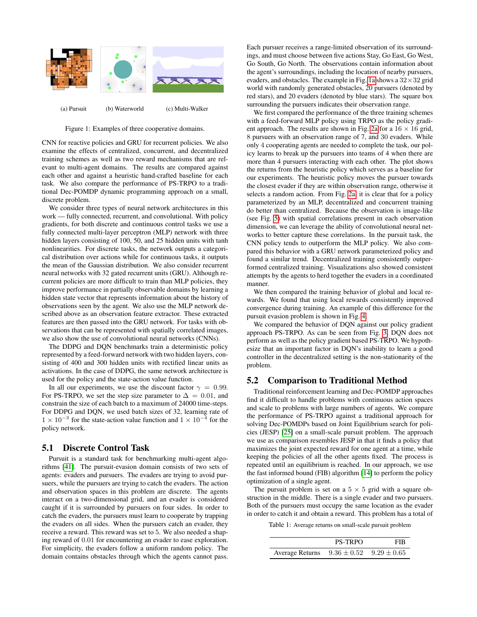<span id="page-3-0"></span>

Figure 1: Examples of three cooperative domains.

CNN for reactive policies and GRU for recurrent policies. We also examine the effects of centralized, concurrent, and decentralized training schemes as well as two reward mechanisms that are relevant to multi-agent domains. The results are compared against each other and against a heuristic hand-crafted baseline for each task. We also compare the performance of PS-TRPO to a traditional Dec-POMDP dynamic programming approach on a small, discrete problem.

We consider three types of neural network architectures in this work — fully connected, recurrent, and convolutional. With policy gradients, for both discrete and continuous control tasks we use a fully connected multi-layer perceptron (MLP) network with three hidden layers consisting of 100, 50, and 25 hidden units with tanh nonlinearities. For discrete tasks, the network outputs a categorical distribution over actions while for continuous tasks, it outputs the mean of the Gaussian distribution. We also consider recurrent neural networks with 32 gated recurrent units (GRU). Although recurrent policies are more difficult to train than MLP policies, they improve performance in partially observable domains by learning a hidden state vector that represents information about the history of observations seen by the agent. We also use the MLP network described above as an observation feature extractor. These extracted features are then passed into the GRU network. For tasks with observations that can be represented with spatially correlated images, we also show the use of convolutional neural networks (CNNs).

The DDPG and DQN benchmarks train a deterministic policy represented by a feed-forward network with two hidden layers, consisting of 400 and 300 hidden units with rectified linear units as activations. In the case of DDPG, the same network architecture is used for the policy and the state-action value function.

In all our experiments, we use the discount factor  $\gamma = 0.99$ . For PS-TRPO, we set the step size parameter to  $\Delta = 0.01$ , and constrain the size of each batch to a maximum of 24000 time-steps. For DDPG and DQN, we used batch sizes of 32, learning rate of  $1 \times 10^{-3}$  for the state-action value function and  $1 \times 10^{-4}$  for the policy network.

#### 5.1 Discrete Control Task

Pursuit is a standard task for benchmarking multi-agent algorithms [\[41\]](#page-7-25). The pursuit-evasion domain consists of two sets of agents: evaders and pursuers. The evaders are trying to avoid pursuers, while the pursuers are trying to catch the evaders. The action and observation spaces in this problem are discrete. The agents interact on a two-dimensional grid, and an evader is considered caught if it is surrounded by pursuers on four sides. In order to catch the evaders, the pursuers must learn to cooperate by trapping the evaders on all sides. When the pursuers catch an evader, they receive a reward. This reward was set to 5. We also needed a shaping reward of 0.01 for encountering an evader to ease exploration. For simplicity, the evaders follow a uniform random policy. The domain contains obstacles through which the agents cannot pass. Each pursuer receives a range-limited observation of its surroundings, and must choose between five actions Stay, Go East, Go West, Go South, Go North. The observations contain information about the agent's surroundings, including the location of nearby pursuers, evaders, and obstacles. The example in Fig. [1a](#page-3-0) shows a  $32 \times 32$  grid world with randomly generated obstacles, 20 pursuers (denoted by red stars), and 20 evaders (denoted by blue stars). The square box surrounding the pursuers indicates their observation range.

We first compared the performance of the three training schemes with a feed-forward MLP policy using TRPO as the policy gradi-ent approach. The results are shown in Fig. [2a](#page-4-0) for a  $16 \times 16$  grid, 8 pursuers with an observation range of 7, and 30 evaders. While only 4 cooperating agents are needed to complete the task, our policy learns to break up the pursuers into teams of 4 when there are more than 4 pursuers interacting with each other. The plot shows the returns from the heuristic policy which serves as a baseline for our experiments. The heuristic policy moves the pursuer towards the closest evader if they are within observation range, otherwise it selects a random action. From Fig. [2a,](#page-4-0) it is clear that for a policy parameterized by an MLP, decentralized and concurrent training do better than centralized. Because the observation is image-like (see Fig. [5\)](#page-5-0) with spatial correlations present in each observation dimension, we can leverage the ability of convolutional neural networks to better capture these correlations. In the pursuit task, the CNN policy tends to outperform the MLP policy. We also compared this behavior with a GRU network parameterized policy and found a similar trend. Decentralized training consistently outperformed centralized training. Visualizations also showed consistent attempts by the agents to herd together the evaders in a coordinated manner.

We then compared the training behavior of global and local rewards. We found that using local rewards consistently improved convergence during training. An example of this difference for the pursuit evasion problem is shown in Fig. [4.](#page-5-1)

We compared the behavior of DQN against our policy gradient approach PS-TRPO. As can be seen from Fig. [3,](#page-4-1) DQN does not perform as well as the policy gradient based PS-TRPO. We hypothesize that an important factor in DQN's inability to learn a good controller in the decentralized setting is the non-stationarity of the problem.

### 5.2 Comparison to Traditional Method

Traditional reinforcement learning and Dec-POMDP approaches find it difficult to handle problems with continuous action spaces and scale to problems with large numbers of agents. We compare the performance of PS-TRPO against a traditional approach for solving Dec-POMDPs based on Joint Equilibrium search for policies (JESP) [\[25\]](#page-7-26) on a small-scale pursuit problem. The approach we use as comparison resembles JESP in that it finds a policy that maximizes the joint expected reward for one agent at a time, while keeping the policies of all the other agents fixed. The process is repeated until an equilibrium is reached. In our approach, we use the fast informed bound (FIB) algorithm [\[14\]](#page-7-27) to perform the policy optimization of a single agent.

The pursuit problem is set on a  $5 \times 5$  grid with a square obstruction in the middle. There is a single evader and two pursuers. Both of the pursuers must occupy the same location as the evader in order to catch it and obtain a reward. This problem has a total of

<span id="page-3-1"></span>Table 1: Average returns on small-scale pursuit problem

|                                                 | <b>PS-TRPO</b> | FIR |
|-------------------------------------------------|----------------|-----|
| Average Returns $9.36 \pm 0.52$ $9.29 \pm 0.65$ |                |     |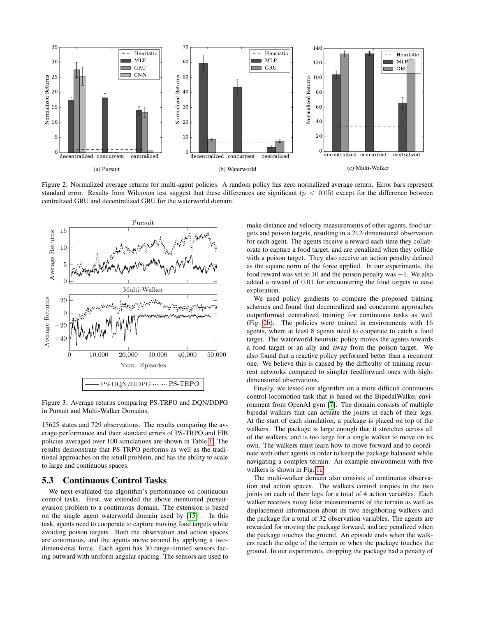<span id="page-4-0"></span>

Figure 2: Normalized average returns for multi-agent policies. A random policy has zero normalized average return. Error bars represent standard error. Results from Wilcoxon test suggest that these differences are significant ( $p < 0.05$ ) except for the difference between centralized GRU and decentralized GRU for the waterworld domain.

<span id="page-4-1"></span>

Figure 3: Average returns comparing PS-TRPO and DQN/DDPG in Pursuit and Multi-Walker Domains.

15625 states and 729 observations. The results comparing the average performance and their standard errors of PS-TRPO and FIB policies averaged over 100 simulations are shown in Table [1.](#page-3-1) The results demonstrate that PS-TRPO performs as well as the traditional approaches on the small problem, and has the ability to scale to large and continuous spaces.

# 5.3 Continuous Control Tasks

We next evaluated the algorithm's performance on continuous control tasks. First, we extended the above mentioned pursuitevasion problem to a continuous domain. The extension is based on the single agent waterworld domain used by [\[15\]](#page-7-28) . In this task, agents need to cooperate to capture moving food targets while avoiding poison targets. Both the observation and action spaces are continuous, and the agents move around by applying a twodimensional force. Each agent has 30 range-limited sensors facing outward with uniform angular spacing. The sensors are used to make distance and velocity measurements of other agents, food targets and poison targets, resulting in a 212-dimensional observation for each agent. The agents receive a reward each time they collaborate to capture a food target, and are penalized when they collide with a poison target. They also receive an action penalty defined as the square norm of the force applied. In our experiments, the food reward was set to 10 and the poison penalty was  $-1$ . We also added a reward of 0.01 for encountering the food targets to ease exploration.

We used policy gradients to compare the proposed training schemes and found that decentralized and concurrent approaches outperformed centralized training for continuous tasks as well (Fig. [2b\)](#page-4-0). The policies were trained in environments with 16 agents, where at least 8 agents need to cooperate to catch a food target. The waterworld heuristic policy moves the agents towards a food target or an ally and away from the poison target. We also found that a reactive policy performed better than a recurrent one. We believe this is caused by the difficulty of training recurrent networks compared to simpler feedforward ones with highdimensional observations.

Finally, we tested our algorithm on a more difficult continuous control locomotion task that is based on the BipedalWalker environment from OpenAI gym [\[7\]](#page-6-7). The domain consists of multiple bipedal walkers that can actuate the joints in each of their legs. At the start of each simulation, a package is placed on top of the walkers. The package is large enough that it stretches across all of the walkers, and is too large for a single walker to move on its own. The walkers must learn how to move forward and to coordinate with other agents in order to keep the package balanced while navigating a complex terrain. An example environment with five walkers is shown in Fig. [1c.](#page-3-0)

The multi-walker domain also consists of continuous observation and action spaces. The walkers control torques in the two joints on each of their legs for a total of 4 action variables. Each walker receives noisy lidar measurements of the terrain as well as displacement information about its two neighboring walkers and the package for a total of 32 observation variables. The agents are rewarded for moving the package forward, and are penalized when the package touches the ground. An episode ends when the walkers reach the edge of the terrain or when the package touches the ground. In our experiments, dropping the package had a penalty of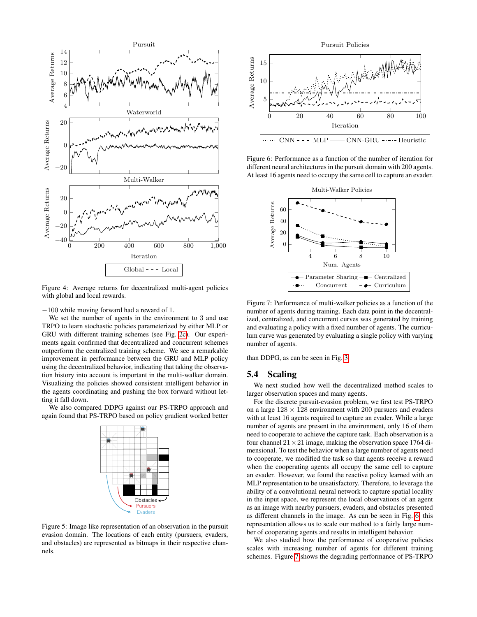<span id="page-5-1"></span>

Figure 4: Average returns for decentralized multi-agent policies with global and local rewards.

−100 while moving forward had a reward of 1.

We set the number of agents in the environment to 3 and use TRPO to learn stochastic policies parameterized by either MLP or GRU with different training schemes (see Fig. [2c\)](#page-4-0). Our experiments again confirmed that decentralized and concurrent schemes outperform the centralized training scheme. We see a remarkable improvement in performance between the GRU and MLP policy using the decentralized behavior, indicating that taking the observation history into account is important in the multi-walker domain. Visualizing the policies showed consistent intelligent behavior in the agents coordinating and pushing the box forward without letting it fall down.

<span id="page-5-0"></span>We also compared DDPG against our PS-TRPO approach and again found that PS-TRPO based on policy gradient worked better



Figure 5: Image like representation of an observation in the pursuit evasion domain. The locations of each entity (pursuers, evaders, and obstacles) are represented as bitmaps in their respective channels.

<span id="page-5-2"></span>

Figure 6: Performance as a function of the number of iteration for different neural architectures in the pursuit domain with 200 agents. At least 16 agents need to occupy the same cell to capture an evader.

<span id="page-5-3"></span>

Figure 7: Performance of multi-walker policies as a function of the number of agents during training. Each data point in the decentralized, centralized, and concurrent curves was generated by training and evaluating a policy with a fixed number of agents. The curriculum curve was generated by evaluating a single policy with varying number of agents.

than DDPG, as can be seen in Fig. [3.](#page-4-1)

## 5.4 Scaling

We next studied how well the decentralized method scales to larger observation spaces and many agents.

For the discrete pursuit-evasion problem, we first test PS-TRPO on a large  $128 \times 128$  environment with 200 pursuers and evaders with at least 16 agents required to capture an evader. While a large number of agents are present in the environment, only 16 of them need to cooperate to achieve the capture task. Each observation is a four channel  $21 \times 21$  image, making the observation space 1764 dimensional. To test the behavior when a large number of agents need to cooperate, we modified the task so that agents receive a reward when the cooperating agents all occupy the same cell to capture an evader. However, we found the reactive policy learned with an MLP representation to be unsatisfactory. Therefore, to leverage the ability of a convolutional neural network to capture spatial locality in the input space, we represent the local observations of an agent as an image with nearby pursuers, evaders, and obstacles presented as different channels in the image. As can be seen in Fig. [6,](#page-5-2) this representation allows us to scale our method to a fairly large number of cooperating agents and results in intelligent behavior.

We also studied how the performance of cooperative policies scales with increasing number of agents for different training schemes. Figure [7](#page-5-3) shows the degrading performance of PS-TRPO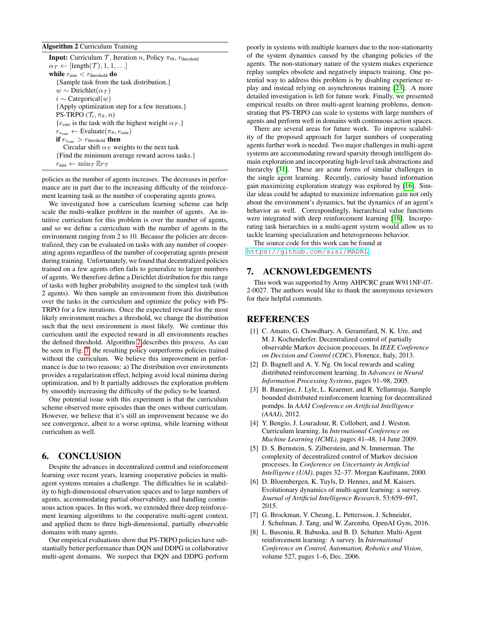#### <span id="page-6-8"></span>Algorithm 2 Curriculum Training

**Input:** Curriculum  $\mathcal{T}$ , Iteration n, Policy  $\pi_{\Theta}$ ,  $r_{\text{threshold}}$  $\alpha_{\mathcal{T}} \leftarrow [\text{length}(\mathcal{T}), 1, 1, \ldots]$ while  $r_{\min} < r_{\text{threshold}}$  do {Sample task from the task distribution.}  $w \sim \text{Dirichlet}(\alpha_{\mathcal{T}})$  $i \sim$  Categorical $(w)$ {Apply optimization step for a few iterations.} PS-TRPO  $(\mathcal{T}_i, \pi_\theta, n)$ { $e_{\text{curr}}$  is the task with the highest weight  $\alpha_{\mathcal{T}}$ .}  $r_{e_{\text{curr}}} \leftarrow \text{Evaluate}(\pi_{\theta}, e_{\text{curr}})$ if  $r_{e_{\text{curr}}} > r_{\text{threshold}}$  then Circular shift  $\alpha_{\mathcal{T}}$  weights to the next task {Find the minimum average reward across tasks.}  $r_{\min} \leftarrow \min_{\mathcal{T}} \mathbb{E} r_{\mathcal{T}}$ 

policies as the number of agents increases. The decreases in performance are in part due to the increasing difficulty of the reinforcement learning task as the number of cooperating agents grows.

We investigated how a curriculum learning scheme can help scale the multi-walker problem in the number of agents. An intuitive curriculum for this problem is over the number of agents, and so we define a curriculum with the number of agents in the environment ranging from 2 to 10. Because the policies are decentralized, they can be evaluated on tasks with any number of cooperating agents regardless of the number of cooperating agents present during training. Unfortunately, we found that decentralized policies trained on a few agents often fails to generalize to larger numbers of agents. We therefore define a Dirichlet distribution for this range of tasks with higher probability assigned to the simplest task (with 2 agents). We then sample an environment from this distribution over the tasks in the curriculum and optimize the policy with PS-TRPO for a few iterations. Once the expected reward for the most likely environment reaches a threshold, we change the distribution such that the next environment is most likely. We continue this curriculum until the expected reward in all environments reaches the defined threshold. Algorithm [2](#page-6-8) describes this process. As can be seen in Fig. [7,](#page-5-3) the resulting policy outperforms policies trained without the curriculum. We believe this improvement in performance is due to two reasons: a) The distribution over environments provides a regularization effect, helping avoid local minima during optimization, and b) It partially addresses the exploration problem by smoothly increasing the difficulty of the policy to be learned.

One potential issue with this experiment is that the curriculum scheme observed more episodes than the ones without curriculum. However, we believe that it's still an improvement because we do see convergence, albeit to a worse optima, while learning without curriculum as well.

# 6. CONCLUSION

Despite the advances in decentralized control and reinforcement learning over recent years, learning cooperative policies in multiagent systems remains a challenge. The difficulties lie in scalability to high-dimensional observation spaces and to large numbers of agents, accommodating partial observability, and handling continuous action spaces. In this work, we extended three deep reinforcement learning algorithms to the cooperative multi-agent context, and applied them to three high-dimensional, partially observable domains with many agents.

Our empirical evaluations show that PS-TRPO policies have substantially better performance than DQN and DDPG in collaborative multi-agent domains. We suspect that DQN and DDPG perform poorly in systems with multiple learners due to the non-stationarity of the system dynamics caused by the changing policies of the agents. The non-stationary nature of the system makes experience replay samples obsolete and negatively impacts training. One potential way to address this problem is by disabling experience replay and instead relying on asynchronous training [\[23\]](#page-7-29). A more detailed investigation is left for future work. Finally, we presented empirical results on three multi-agent learning problems, demonstrating that PS-TRPO can scale to systems with large numbers of agents and perform well in domains with continuous action spaces.

There are several areas for future work. To improve scalability of the proposed approach for larger numbers of cooperating agents further work is needed. Two major challenges in multi-agent systems are accommodating reward sparsity through intelligent domain exploration and incorporating high-level task abstractions and hierarchy [\[31\]](#page-7-30). These are acute forms of similar challenges in the single agent learning. Recently, curiosity based information gain maximizing exploration strategy was explored by [\[16\]](#page-7-31). Similar ideas could be adapted to maximize information gain not only about the environment's dynamics, but the dynamics of an agent's behavior as well. Correspondingly, hierarchical value functions were integrated with deep reinforcement learning [\[18\]](#page-7-32). Incorporating task hierarchies in a multi-agent system would allow us to tackle learning specialization and heterogeneous behavior.

The source code for this work can be found at <https://github.com/sisl/MADRL>.

# 7. ACKNOWLEDGEMENTS

This work was supported by Army AHPCRC grant W911NF-07- 2-0027. The authors would like to thank the anonymous reviewers for their helpful comments.

# **REFERENCES**

- <span id="page-6-1"></span>[1] C. Amato, G. Chowdhary, A. Geramifard, N. K. Ure, and M. J. Kochenderfer. Decentralized control of partially observable Markov decision processes. In *IEEE Conference on Decision and Control (CDC)*, Florence, Italy, 2013.
- <span id="page-6-5"></span>[2] D. Bagnell and A. Y. Ng. On local rewards and scaling distributed reinforcement learning. In *Advances in Neural Information Processing Systems*, pages 91–98, 2005.
- <span id="page-6-3"></span>[3] B. Banerjee, J. Lyle, L. Kraemer, and R. Yellamraju. Sample bounded distributed reinforcement learning for decentralized pomdps. In *AAAI Conference on Artificial Intelligence (AAAI)*, 2012.
- <span id="page-6-6"></span>[4] Y. Bengio, J. Louradour, R. Collobert, and J. Weston. Curriculum learning. In *International Conference on Machine Learning (ICML)*, pages 41–48, 14 June 2009.
- <span id="page-6-2"></span>[5] D. S. Bernstein, S. Zilberstein, and N. Immerman. The complexity of decentralized control of Markov decision processes. In *Conference on Uncertainty in Artificial Intelligence (UAI)*, pages 32–37. Morgan Kaufmann, 2000.
- <span id="page-6-0"></span>[6] D. Bloembergen, K. Tuyls, D. Hennes, and M. Kaisers. Evolutionary dynamics of multi-agent learning: a survey. *Journal of Artificial Intelligence Research*, 53:659–697, 2015.
- <span id="page-6-7"></span>[7] G. Brockman, V. Cheung, L. Pettersson, J. Schneider, J. Schulman, J. Tang, and W. Zaremba. OpenAI Gym, 2016.
- <span id="page-6-4"></span>[8] L. Busoniu, R. Babuska, and B. D. Schutter. Multi-Agent reinforcement learning: A survey. In *International Conference on Control, Automation, Robotics and Vision*, volume 527, pages 1–6, Dec. 2006.